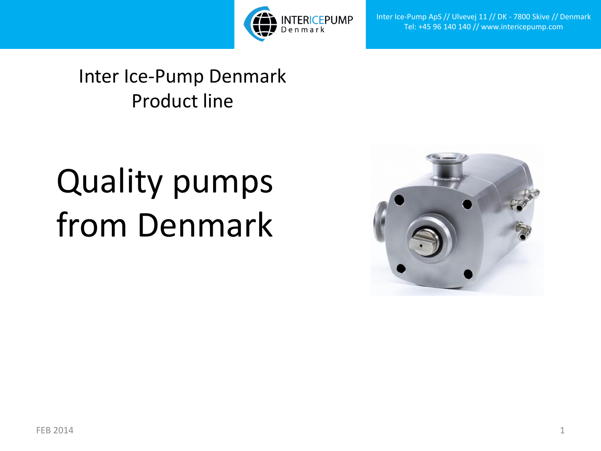

#### Inter Ice-Pump Denmark Product line

# Quality pumps from Denmark

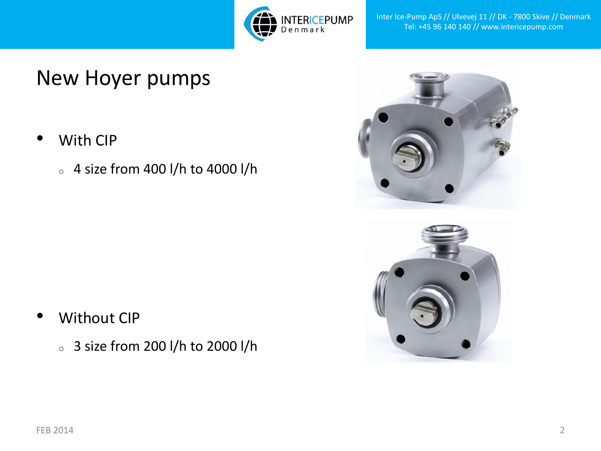

#### New Hoyer pumps

- With CIP
	- $\circ$  4 size from 400 l/h to 4000 l/h

- **Without CIP** 
	- <sup>o</sup> 3 size from 200 l/h to 2000 l/h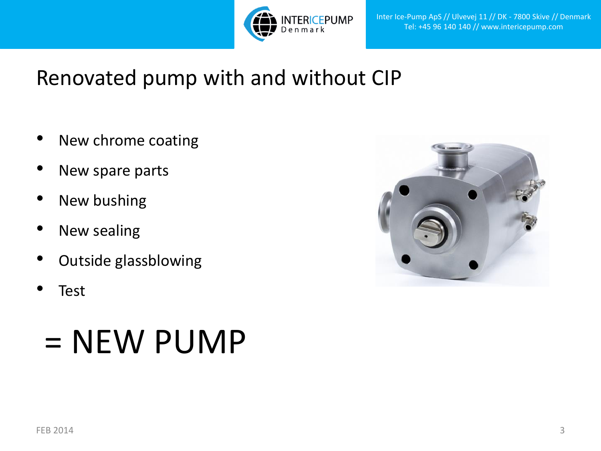

#### Renovated pump with and without CIP

- New chrome coating
- New spare parts
- New bushing
- New sealing
- Outside glassblowing
- Test

## $=$  NEW PUMP

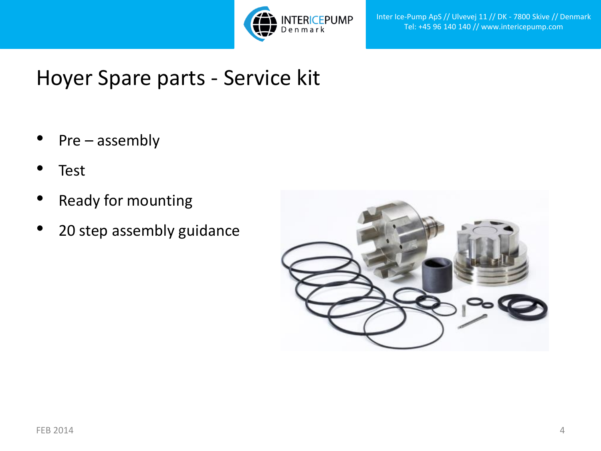

#### Hoyer Spare parts - Service kit

- $Pre assembly$
- Test
- Ready for mounting
- 20 step assembly guidance

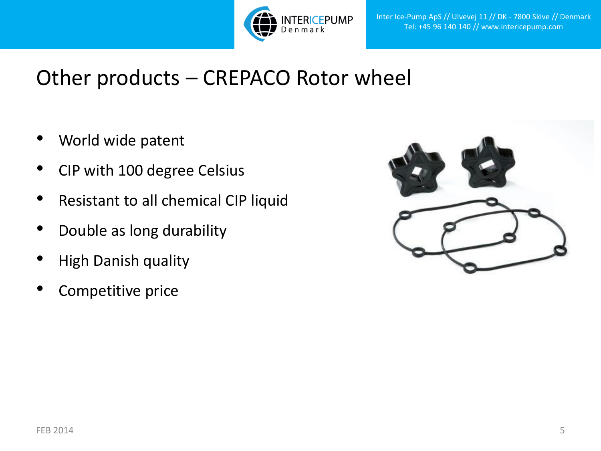

#### Other products – CREPACO Rotor wheel

- World wide patent
- CIP with 100 degree Celsius
- Resistant to all chemical CIP liquid
- Double as long durability
- High Danish quality
- Competitive price

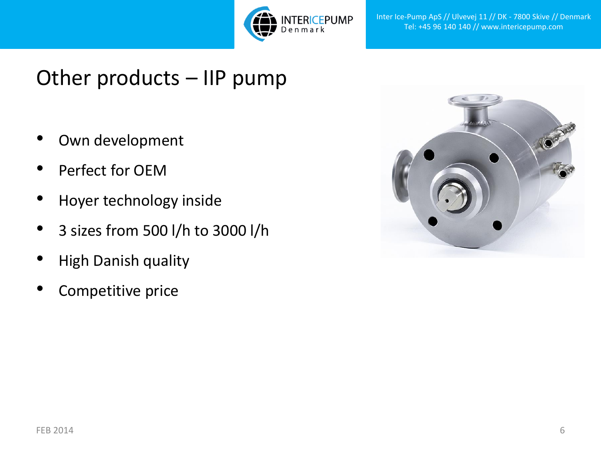

#### Other products – IIP pump

- Own development
- Perfect for OEM
- Hoyer technology inside
- 3 sizes from 500 l/h to 3000 l/h
- High Danish quality
- Competitive price

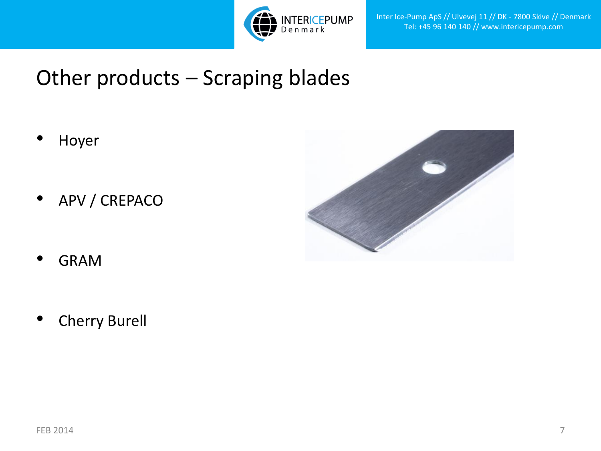

#### Other products – Scraping blades

- Hoyer
- APV / CREPACO
- GRAM
- Cherry Burell

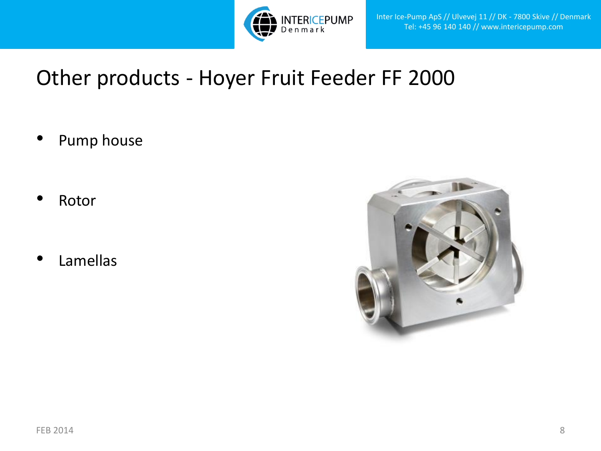

#### Other products - Hoyer Fruit Feeder FF 2000

- Pump house
- Rotor
- Lamellas